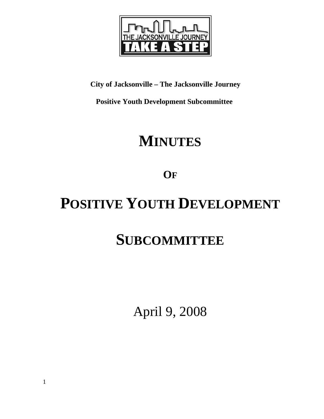

**City of Jacksonville – The Jacksonville Journey** 

 **Positive Youth Development Subcommittee** 

# **MINUTES**

**OF**

# **POSITIVE YOUTH DEVELOPMENT**

# **SUBCOMMITTEE**

April 9, 2008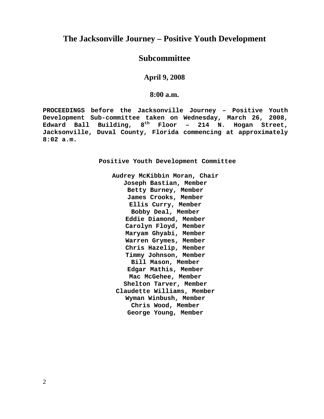# **The Jacksonville Journey – Positive Youth Development**

# **Subcommittee**

**April 9, 2008** 

**8:00 a.m.**

**PROCEEDINGS before the Jacksonville Journey – Positive Youth Development Sub-committee taken on Wednesday, March 26, 2008, Edward Ball Building, 8th Floor – 214 N. Hogan Street, Jacksonville, Duval County, Florida commencing at approximately 8:02 a.m.** 

**Positive Youth Development Committee** 

**Audrey McKibbin Moran, Chair Joseph Bastian, Member Betty Burney, Member James Crooks, Member Ellis Curry, Member Bobby Deal, Member Eddie Diamond, Member Carolyn Floyd, Member Maryam Ghyabi, Member Warren Grymes, Member Chris Hazelip, Member Timmy Johnson, Member Bill Mason, Member Edgar Mathis, Member Mac McGehee, Member Shelton Tarver, Member Claudette Williams, Member Wyman Winbush, Member Chris Wood, Member George Young, Member**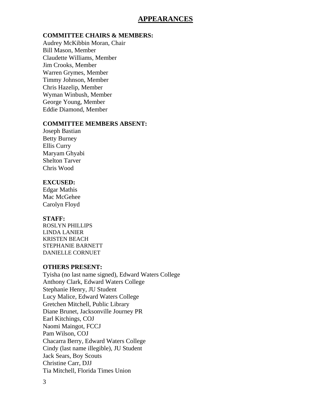# **APPEARANCES**

# **COMMITTEE CHAIRS & MEMBERS:**

Audrey McKibbin Moran, Chair Bill Mason, Member Claudette Williams, Member Jim Crooks, Member Warren Grymes, Member Timmy Johnson, Member Chris Hazelip, Member Wyman Winbush, Member George Young, Member Eddie Diamond, Member

# **COMMITTEE MEMBERS ABSENT:**

Joseph Bastian Betty Burney Ellis Curry Maryam Ghyabi Shelton Tarver Chris Wood

# **EXCUSED:**

Edgar Mathis Mac McGehee Carolyn Floyd

# **STAFF:**

ROSLYN PHILLIPS LINDA LANIER KRISTEN BEACH STEPHANIE BARNETT DANIELLE CORNUET

# **OTHERS PRESENT:**

Tyisha (no last name signed), Edward Waters College Anthony Clark, Edward Waters College Stephanie Henry, JU Student Lucy Malice, Edward Waters College Gretchen Mitchell, Public Library Diane Brunet, Jacksonville Journey PR Earl Kitchings, COJ Naomi Maingot, FCCJ Pam Wilson, COJ Chacarra Berry, Edward Waters College Cindy (last name illegible), JU Student Jack Sears, Boy Scouts Christine Carr, DJJ Tia Mitchell, Florida Times Union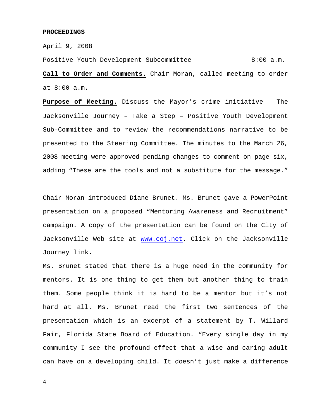#### **PROCEEDINGS**

April 9, 2008

Positive Youth Development Subcommittee 8:00 a.m. **Call to Order and Comments.** Chair Moran, called meeting to order at 8:00 a.m.

**Purpose of Meeting.** Discuss the Mayor's crime initiative – The Jacksonville Journey – Take a Step – Positive Youth Development Sub-Committee and to review the recommendations narrative to be presented to the Steering Committee. The minutes to the March 26, 2008 meeting were approved pending changes to comment on page six, adding "These are the tools and not a substitute for the message."

Chair Moran introduced Diane Brunet. Ms. Brunet gave a PowerPoint presentation on a proposed "Mentoring Awareness and Recruitment" campaign. A copy of the presentation can be found on the City of Jacksonville Web site at www.coj.net. Click on the Jacksonville Journey link.

Ms. Brunet stated that there is a huge need in the community for mentors. It is one thing to get them but another thing to train them. Some people think it is hard to be a mentor but it's not hard at all. Ms. Brunet read the first two sentences of the presentation which is an excerpt of a statement by T. Willard Fair, Florida State Board of Education. "Every single day in my community I see the profound effect that a wise and caring adult can have on a developing child. It doesn't just make a difference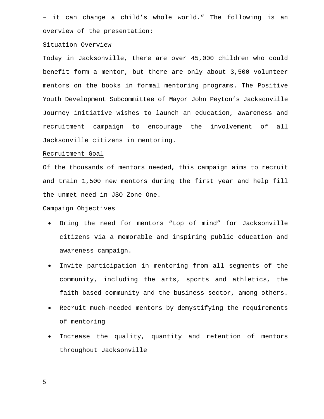– it can change a child's whole world." The following is an overview of the presentation:

## Situation Overview

Today in Jacksonville, there are over 45,000 children who could benefit form a mentor, but there are only about 3,500 volunteer mentors on the books in formal mentoring programs. The Positive Youth Development Subcommittee of Mayor John Peyton's Jacksonville Journey initiative wishes to launch an education, awareness and recruitment campaign to encourage the involvement of all Jacksonville citizens in mentoring.

## Recruitment Goal

Of the thousands of mentors needed, this campaign aims to recruit and train 1,500 new mentors during the first year and help fill the unmet need in JSO Zone One.

## Campaign Objectives

- Bring the need for mentors "top of mind" for Jacksonville citizens via a memorable and inspiring public education and awareness campaign.
- Invite participation in mentoring from all segments of the community, including the arts, sports and athletics, the faith-based community and the business sector, among others.
- Recruit much-needed mentors by demystifying the requirements of mentoring
- Increase the quality, quantity and retention of mentors throughout Jacksonville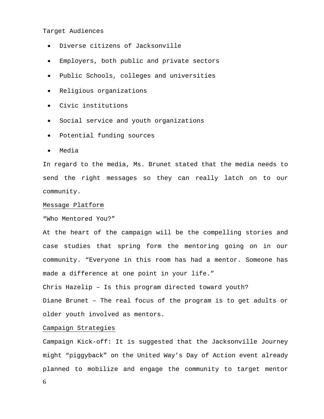#### Target Audiences

- Diverse citizens of Jacksonville
- Employers, both public and private sectors
- Public Schools, colleges and universities
- Religious organizations
- Civic institutions
- Social service and youth organizations
- Potential funding sources
- Media

In regard to the media, Ms. Brunet stated that the media needs to send the right messages so they can really latch on to our community.

## Message Platform

"Who Mentored You?"

At the heart of the campaign will be the compelling stories and case studies that spring form the mentoring going on in our community. "Everyone in this room has had a mentor. Someone has made a difference at one point in your life."

Chris Hazelip – Is this program directed toward youth?

Diane Brunet – The real focus of the program is to get adults or older youth involved as mentors.

## Campaign Strategies

Campaign Kick-off: It is suggested that the Jacksonville Journey might "piggyback" on the United Way's Day of Action event already planned to mobilize and engage the community to target mentor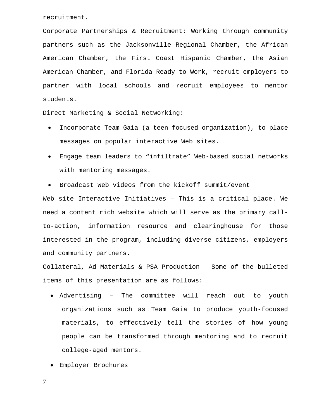recruitment.

Corporate Partnerships & Recruitment: Working through community partners such as the Jacksonville Regional Chamber, the African American Chamber, the First Coast Hispanic Chamber, the Asian American Chamber, and Florida Ready to Work, recruit employers to partner with local schools and recruit employees to mentor students.

Direct Marketing & Social Networking:

- Incorporate Team Gaia (a teen focused organization), to place messages on popular interactive Web sites.
- Engage team leaders to "infiltrate" Web-based social networks with mentoring messages.
- Broadcast Web videos from the kickoff summit/event

Web site Interactive Initiatives – This is a critical place. We need a content rich website which will serve as the primary callto-action, information resource and clearinghouse for those interested in the program, including diverse citizens, employers and community partners.

Collateral, Ad Materials & PSA Production – Some of the bulleted items of this presentation are as follows:

- Advertising The committee will reach out to youth organizations such as Team Gaia to produce youth-focused materials, to effectively tell the stories of how young people can be transformed through mentoring and to recruit college-aged mentors.
- Employer Brochures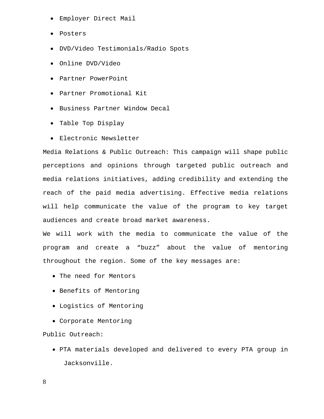- Employer Direct Mail
- Posters
- DVD/Video Testimonials/Radio Spots
- Online DVD/Video
- Partner PowerPoint
- Partner Promotional Kit
- Business Partner Window Decal
- Table Top Display
- Electronic Newsletter

Media Relations & Public Outreach: This campaign will shape public perceptions and opinions through targeted public outreach and media relations initiatives, adding credibility and extending the reach of the paid media advertising. Effective media relations will help communicate the value of the program to key target audiences and create broad market awareness.

We will work with the media to communicate the value of the program and create a "buzz" about the value of mentoring throughout the region. Some of the key messages are:

- The need for Mentors
- Benefits of Mentoring
- Logistics of Mentoring
- Corporate Mentoring

Public Outreach:

• PTA materials developed and delivered to every PTA group in Jacksonville.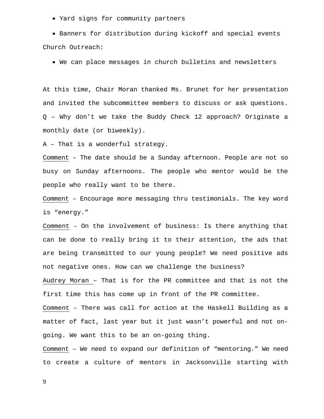• Yard signs for community partners

• Banners for distribution during kickoff and special events Church Outreach:

• We can place messages in church bulletins and newsletters

At this time, Chair Moran thanked Ms. Brunet for her presentation and invited the subcommittee members to discuss or ask questions. Q – Why don't we take the Buddy Check 12 approach? Originate a monthly date (or biweekly).

A – That is a wonderful strategy.

Comment – The date should be a Sunday afternoon. People are not so busy on Sunday afternoons. The people who mentor would be the people who really want to be there.

Comment – Encourage more messaging thru testimonials. The key word is "energy."

Comment - On the involvement of business: Is there anything that can be done to really bring it to their attention, the ads that are being transmitted to our young people? We need positive ads not negative ones. How can we challenge the business?

Audrey Moran – That is for the PR committee and that is not the first time this has come up in front of the PR committee.

Comment – There was call for action at the Haskell Building as a matter of fact, last year but it just wasn't powerful and not ongoing. We want this to be an on-going thing.

Comment – We need to expand our definition of "mentoring." We need to create a culture of mentors in Jacksonville starting with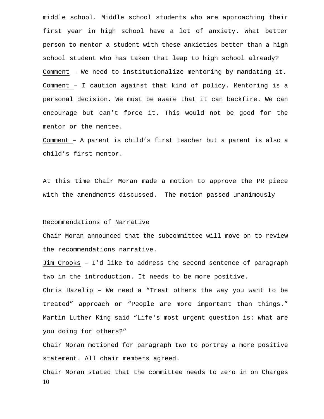middle school. Middle school students who are approaching their first year in high school have a lot of anxiety. What better person to mentor a student with these anxieties better than a high school student who has taken that leap to high school already? Comment – We need to institutionalize mentoring by mandating it. Comment – I caution against that kind of policy. Mentoring is a personal decision. We must be aware that it can backfire. We can encourage but can't force it. This would not be good for the mentor or the mentee.

Comment – A parent is child's first teacher but a parent is also a child's first mentor.

At this time Chair Moran made a motion to approve the PR piece with the amendments discussed. The motion passed unanimously

## Recommendations of Narrative

Chair Moran announced that the subcommittee will move on to review the recommendations narrative.

Jim Crooks – I'd like to address the second sentence of paragraph two in the introduction. It needs to be more positive.

Chris Hazelip – We need a "Treat others the way you want to be treated" approach or "People are more important than things." Martin Luther King said "Life's most urgent question is: what are you doing for others?"

Chair Moran motioned for paragraph two to portray a more positive statement. All chair members agreed.

10 Chair Moran stated that the committee needs to zero in on Charges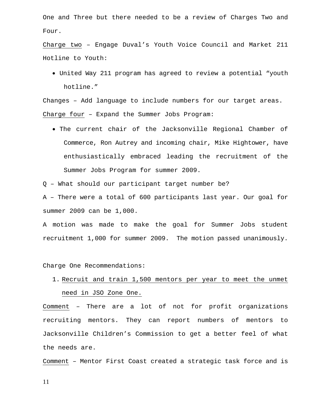One and Three but there needed to be a review of Charges Two and Four.

Charge two – Engage Duval's Youth Voice Council and Market 211 Hotline to Youth:

• United Way 211 program has agreed to review a potential "youth hotline."

Changes – Add language to include numbers for our target areas. Charge four – Expand the Summer Jobs Program:

• The current chair of the Jacksonville Regional Chamber of Commerce, Ron Autrey and incoming chair, Mike Hightower, have enthusiastically embraced leading the recruitment of the Summer Jobs Program for summer 2009.

Q – What should our participant target number be?

A – There were a total of 600 participants last year. Our goal for summer 2009 can be 1,000.

A motion was made to make the goal for Summer Jobs student recruitment 1,000 for summer 2009. The motion passed unanimously.

Charge One Recommendations:

1. Recruit and train 1,500 mentors per year to meet the unmet need in JSO Zone One.

Comment – There are a lot of not for profit organizations recruiting mentors. They can report numbers of mentors to Jacksonville Children's Commission to get a better feel of what the needs are.

Comment – Mentor First Coast created a strategic task force and is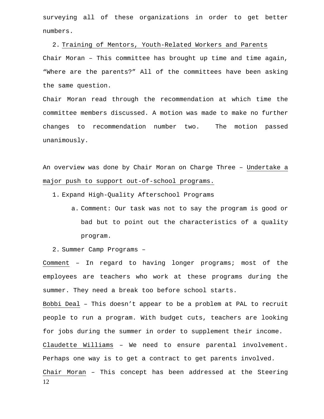surveying all of these organizations in order to get better numbers.

2. Training of Mentors, Youth-Related Workers and Parents Chair Moran – This committee has brought up time and time again, "Where are the parents?" All of the committees have been asking the same question.

Chair Moran read through the recommendation at which time the committee members discussed. A motion was made to make no further changes to recommendation number two. The motion passed unanimously.

An overview was done by Chair Moran on Charge Three – Undertake a major push to support out-of-school programs.

1. Expand High-Quality Afterschool Programs

a. Comment: Our task was not to say the program is good or bad but to point out the characteristics of a quality program.

2. Summer Camp Programs –

Comment – In regard to having longer programs; most of the employees are teachers who work at these programs during the summer. They need a break too before school starts.

12 Bobbi Deal – This doesn't appear to be a problem at PAL to recruit people to run a program. With budget cuts, teachers are looking for jobs during the summer in order to supplement their income. Claudette Williams – We need to ensure parental involvement. Perhaps one way is to get a contract to get parents involved. Chair Moran – This concept has been addressed at the Steering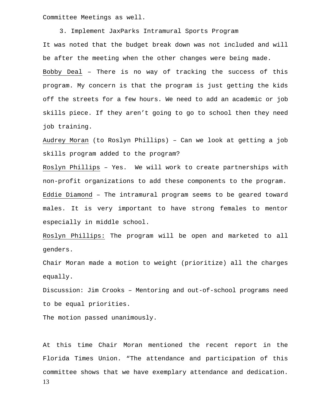Committee Meetings as well.

 3. Implement JaxParks Intramural Sports Program It was noted that the budget break down was not included and will be after the meeting when the other changes were being made. Bobby Deal – There is no way of tracking the success of this program. My concern is that the program is just getting the kids off the streets for a few hours. We need to add an academic or job skills piece. If they aren't going to go to school then they need job training.

Audrey Moran (to Roslyn Phillips) – Can we look at getting a job skills program added to the program?

Roslyn Phillips – Yes. We will work to create partnerships with non-profit organizations to add these components to the program. Eddie Diamond – The intramural program seems to be geared toward males. It is very important to have strong females to mentor especially in middle school.

Roslyn Phillips: The program will be open and marketed to all genders.

Chair Moran made a motion to weight (prioritize) all the charges equally.

Discussion: Jim Crooks – Mentoring and out-of-school programs need to be equal priorities.

The motion passed unanimously.

13 At this time Chair Moran mentioned the recent report in the Florida Times Union. "The attendance and participation of this committee shows that we have exemplary attendance and dedication.